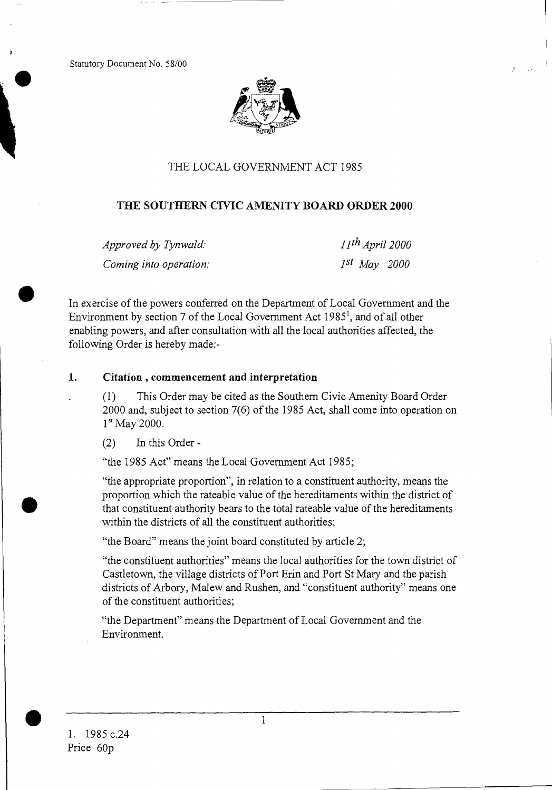Statutory Document No. 58/00



### THE LOCAL GOVERNMENT ACT 1985

### **THE SOUTHERN CIVIC AMENITY BOARD ORDER 2000**

*Approved by Tynwald: llth April 2000 Coming into operation: 1st May 2000* 

•

In exercise of the powers conferred on the Department of Local Government and the Environment by section 7 of the Local Government Act 1985', and of all other enabling powers, and after consultation with all the local authorities affected, the following Order is hereby made:-

#### **1. Citation , commencement and interpretation**

(1) This Order may be cited as the Southern Civic Amenity Board Order 2000 and, subject to section 7(6) of the 1985 Act, shall come into operation on **lst** May 2000.

(2) In this Order -

"the 1985 Act" means the Local Government Act 1985;

"the appropriate proportion", in relation to a constituent authority, means the proportion which the rateable value of the hereditaments within the district of that constituent authority bears to the total rateable value of the hereditaments within the districts of all the constituent authorities;

"the Board" means the joint board constituted by article 2;

"the constituent authorities" means the local authorities for the town district of Castletown, the village districts of Port Erin and Port St Mary and the parish districts of Arbory, Malew and Rushen, and "constituent authority" means one of the constituent authorities;

"the Department" means the Department of Local Government and the Environment.

*1*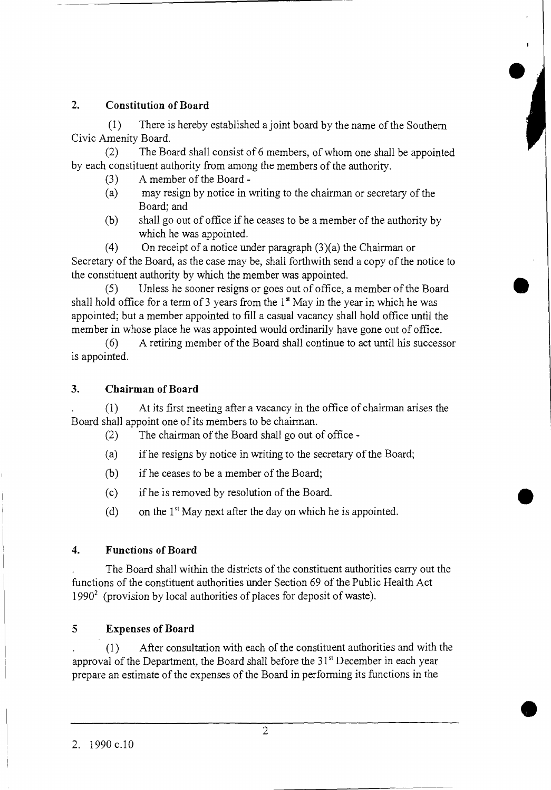## **2. Constitution of Board**

(1) There is hereby established a joint board by the name of the Southern Civic Amenity Board.

(2) The Board shall consist of 6 members, of whom one shall be appointed by each constituent authority from among the members of the authority.

- (3) A member of the Board -
- (a) may resign by notice in writing to the chairman or secretary of the Board; and
- (b) shall go out of office if he ceases to be a member of the authority by which he was appointed.

(4) On receipt of a notice under paragraph (3)(a) the Chairman or Secretary of the Board, as the case may be, shall forthwith send a copy of the notice to the constituent authority by which the member was appointed.

(5) Unless he sooner resigns or goes out of office, a member of the Board • shall hold office for a term of 3 years from the  $1<sup>st</sup>$  May in the year in which he was appointed; but a member appointed to fill a casual vacancy shall hold office until the member in whose place he was appointed would ordinarily have gone out of office.

(6) A retiring member of the Board shall continue to act until his successor is appointed.

### **3. Chairman of Board**

(1) At its first meeting after a vacancy in the office of chairman arises the Board shall appoint one of its members to be chairman.

(2) The chairman of the Board shall go out of office -

- (a) if he resigns by notice in writing to the secretary of the Board;
- (b) if he ceases to be a member of the Board;
- (c) if he is removed by resolution of the Board.
- (d) on the  $1<sup>st</sup>$  May next after the day on which he is appointed.

# **4. Functions of Board**

The Board shall within the districts of the constituent authorities carry out the functions of the constituent authorities under Section 69 of the Public Health Act  $1990<sup>2</sup>$  (provision by local authorities of places for deposit of waste).

# **5 Expenses of Board**

(1) After consultation with each of the constituent authorities and with the approval of the Department, the Board shall before the 31<sup>st</sup> December in each year prepare an estimate of the expenses of the Board in performing its functions in the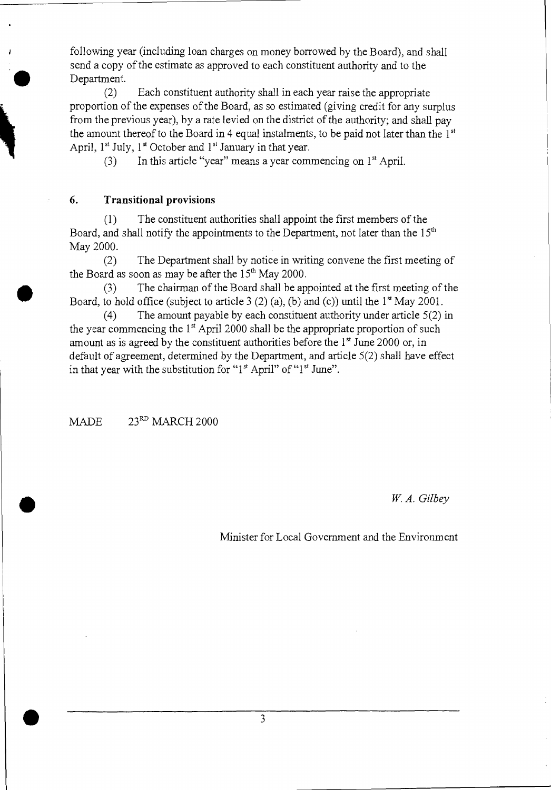following year (including loan charges on money borrowed by the Board), and shall send a copy of the estimate as approved to each constituent authority and to the Department.

(2) Each constituent authority shall in each year raise the appropriate proportion of the expenses of the Board, as so estimated (giving credit for any surplus from the previous year), by a rate levied on the district of the authority; and shall pay the amount thereof to the Board in 4 equal instalments, to be paid not later than the  $1<sup>st</sup>$ April,  $1<sup>st</sup>$  July,  $1<sup>st</sup>$  October and  $1<sup>st</sup>$  January in that year.

(3) In this article "year" means a year commencing on  $1<sup>st</sup>$  April.

#### **6. Transitional provisions**

**•** 

•

•

(1) The constituent authorities shall appoint the first members of the Board, and shall notify the appointments to the Department, not later than the  $15<sup>th</sup>$ May 2000.

(2) The Department shall by notice in writing convene the first meeting of the Board as soon as may be after the  $15<sup>th</sup>$  May 2000.

(3) The chairman of the Board shall be appointed at the first meeting of the Board, to hold office (subject to article 3  $(2)$  (a), (b) and (c)) until the 1<sup>st</sup> May 2001.

(4) The amount payable by each constituent authority under article 5(2) in the year commencing the  $1<sup>st</sup>$  April 2000 shall be the appropriate proportion of such amount as is agreed by the constituent authorities before the  $1<sup>st</sup>$  June 2000 or, in default of agreement, determined by the Department, and article 5(2) shall have effect in that year with the substitution for "1<sup>st</sup> April" of "1<sup>st</sup> June".

MADE  $23<sup>RD</sup>$  MARCH 2000

*W. A. Gilbey* 

Minister for Local Government and the Environment